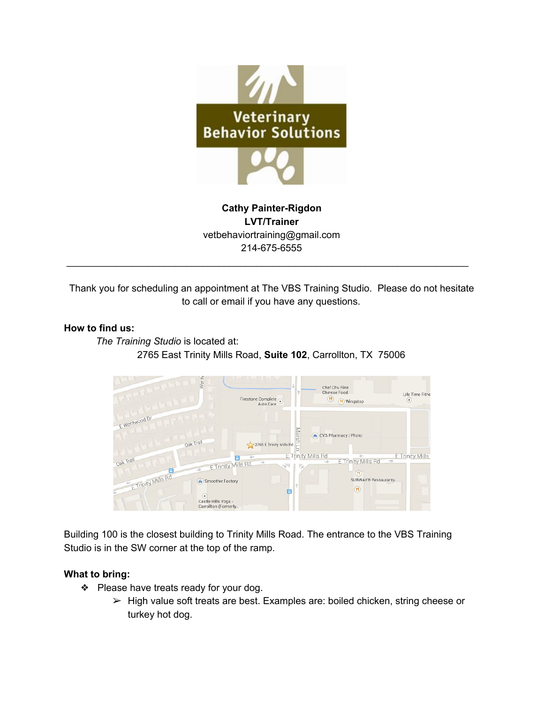

**Cathy Painter-Rigdon LVT/Trainer** vetbehaviortraining@gmail.com 214-675-6555

\_\_\_\_\_\_\_\_\_\_\_\_\_\_\_\_\_\_\_\_\_\_\_\_\_\_\_\_\_\_\_\_\_\_\_\_\_\_\_\_\_\_\_\_\_\_\_\_\_\_\_\_\_\_\_\_\_\_\_\_\_\_\_\_\_\_\_\_\_\_\_\_\_\_

Thank you for scheduling an appointment at The VBS Training Studio. Please do not hesitate to call or email if you have any questions.

### **How to find us:**

*The Training Studio* is located at: 2765 East Trinity Mills Road, **Suite 102**, Carrollton, TX 75006



Building 100 is the closest building to Trinity Mills Road. The entrance to the VBS Training Studio is in the SW corner at the top of the ramp.

#### **What to bring:**

- ❖ Please have treats ready for your dog.
	- ➢ High value soft treats are best. Examples are: boiled chicken, string cheese or turkey hot dog.